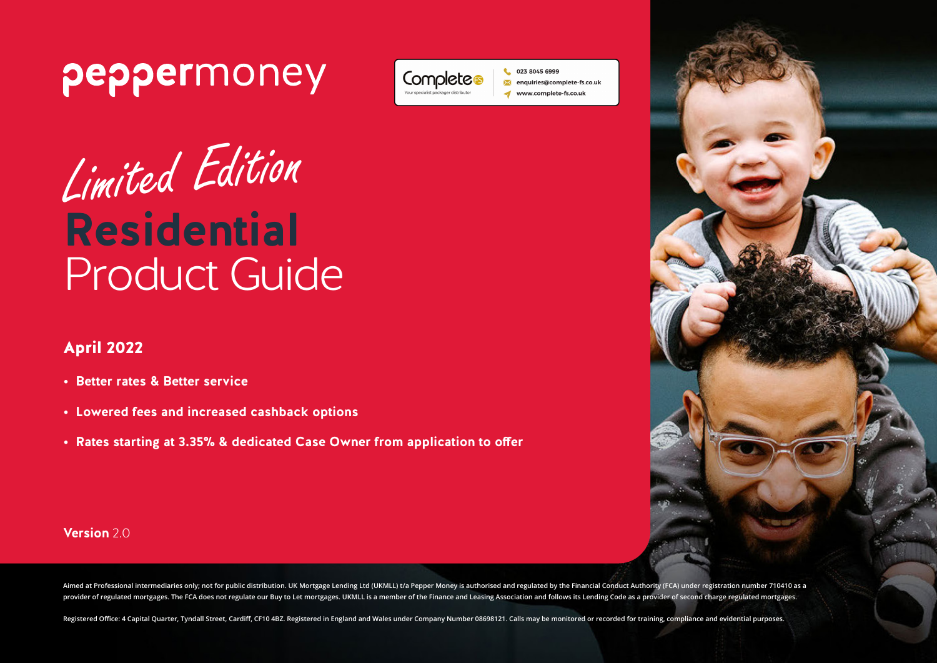

# Limited Edition **Residential** Product Guide

## April 2022

- **• Better rates & Better service**
- **• Lowered fees and increased cashback options**
- **• Rates starting at 3.35% & dedicated Case Owner from application to offer**



**Version** 2.0

Aimed at Professional intermediaries only; not for public distribution. UK Mortgage Lending Ltd (UKMLL) t/a Pepper Money is authorised and regulated by the Financial Conduct Authority (FCA) under registration number 710410 provider of regulated mortgages. The FCA does not regulate our Buy to Let mortgages. UKMLL is a member of the Finance and Leasing Association and follows its Lending Code as a provider of second charge regulated mortgages.

023 8045 6999

enquiries@complete-fs.co.uk www.complete-fs.co.uk

Completes

Registered Office: 4 Capital Quarter, Tyndall Street, Cardiff, CF10 4BZ. Registered in England and Wales under Company Number 08698121. Calls may be monitored or recorded for training, compliance and evidential purposes.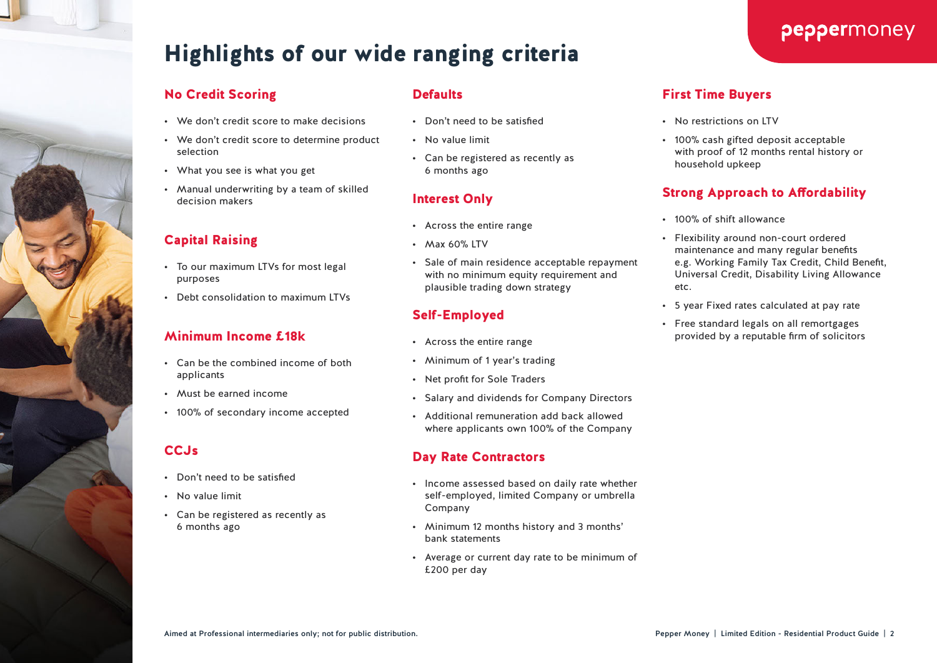# Highlights of our wide ranging criteria

#### No Credit Scoring

- We don't credit score to make decisions
- We don't credit score to determine product selection
- What you see is what you get
- Manual underwriting by a team of skilled decision makers

#### Capital Raising

- To our maximum LTVs for most legal purposes
- Debt consolidation to maximum LTVs

#### Minimum Income £18k

- Can be the combined income of both applicants
- Must be earned income
- 100% of secondary income accepted

#### **CCJs**

- Don't need to be satisfied
- No value limit
- Can be registered as recently as 6 months ago

#### **Defaults**

- Don't need to be satisfied
- No value limit
- Can be registered as recently as 6 months ago

#### Interest Only

- Across the entire range
- Max 60% LTV
- Sale of main residence acceptable repayment with no minimum equity requirement and plausible trading down strategy

#### Self-Employed

- Across the entire range
- Minimum of 1 year's trading
- Net profit for Sole Traders
- Salary and dividends for Company Directors
- Additional remuneration add back allowed where applicants own 100% of the Company

#### Day Rate Contractors

- Income assessed based on daily rate whether self-employed, limited Company or umbrella Company
- Minimum 12 months history and 3 months' bank statements
- Average or current day rate to be minimum of £200 per day

#### First Time Buyers

- No restrictions on LTV
- 100% cash gifted deposit acceptable with proof of 12 months rental history or household upkeep

#### Strong Approach to Affordability

- 100% of shift allowance
- Flexibility around non-court ordered maintenance and many regular benefits e.g. Working Family Tax Credit, Child Benefit, Universal Credit, Disability Living Allowance etc.
- 5 year Fixed rates calculated at pay rate
- Free standard legals on all remortgages provided by a reputable firm of solicitors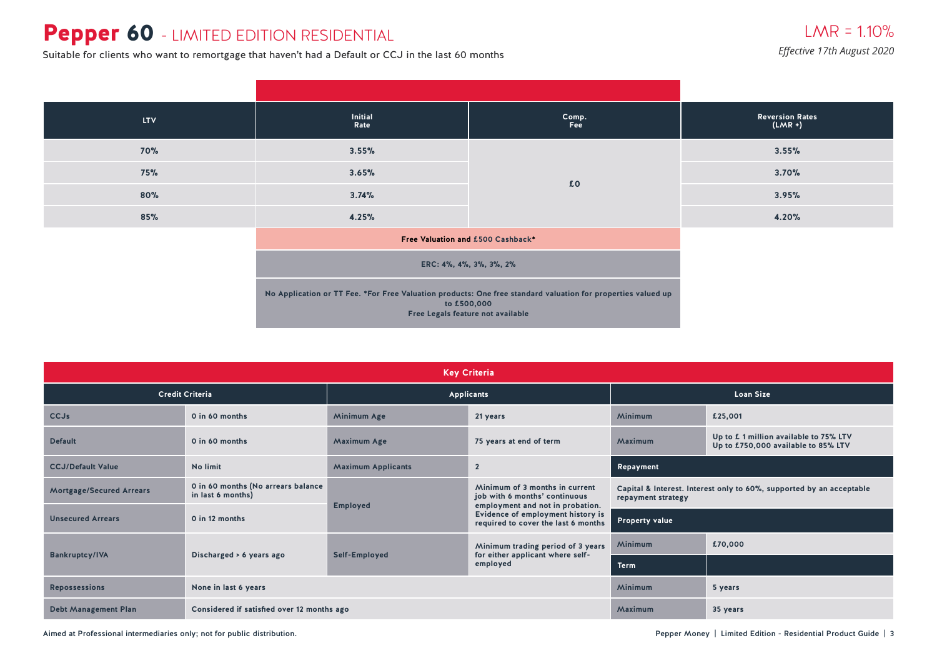## Pepper 60 - LIMITED EDITION RESIDENTIAL

**Effective 17th August 2020**<br>Suitable for clients who want to remortgage that haven't had a Default or CCJ in the last 60 months

| <b>LTV</b> | Initial<br>Rate                   | Comp.<br>Fee                                                                                                                                                     | <b>Reversion Rates</b><br>$(LMR +)$ |
|------------|-----------------------------------|------------------------------------------------------------------------------------------------------------------------------------------------------------------|-------------------------------------|
| <b>70%</b> | 3.55%                             |                                                                                                                                                                  | 3.55%                               |
| 75%        | 3.65%                             | £0                                                                                                                                                               | 3.70%                               |
| 80%        | 3.74%                             |                                                                                                                                                                  | 3.95%                               |
| 85%        | 4.25%                             |                                                                                                                                                                  | 4.20%                               |
|            | Free Valuation and £500 Cashback* |                                                                                                                                                                  |                                     |
|            |                                   | ERC: 4%, 4%, 3%, 3%, 2%                                                                                                                                          |                                     |
|            |                                   | No Application or TT Fee. *For Free Valuation products: One free standard valuation for properties valued up<br>to £500,000<br>Free Legals feature not available |                                     |

| <b>Key Criteria</b>             |                                                         |                           |                                                                                                     |                                                                                            |                                                                              |  |  |  |  |
|---------------------------------|---------------------------------------------------------|---------------------------|-----------------------------------------------------------------------------------------------------|--------------------------------------------------------------------------------------------|------------------------------------------------------------------------------|--|--|--|--|
|                                 | <b>Credit Criteria</b>                                  |                           | <b>Applicants</b>                                                                                   | <b>Loan Size</b>                                                                           |                                                                              |  |  |  |  |
| <b>CCJs</b>                     | 0 in 60 months                                          | Minimum Age               | 21 years                                                                                            | <b>Minimum</b>                                                                             | £25,001                                                                      |  |  |  |  |
| <b>Default</b>                  | 0 in 60 months                                          | <b>Maximum Age</b>        | 75 years at end of term                                                                             | Maximum                                                                                    | Up to £1 million available to 75% LTV<br>Up to £750,000 available to 85% LTV |  |  |  |  |
| <b>CCJ/Default Value</b>        | No limit                                                | <b>Maximum Applicants</b> | $\overline{2}$                                                                                      | Repayment                                                                                  |                                                                              |  |  |  |  |
| <b>Mortgage/Secured Arrears</b> | 0 in 60 months (No arrears balance<br>in last 6 months) | <b>Employed</b>           | Minimum of 3 months in current<br>job with 6 months' continuous<br>employment and not in probation. | Capital & Interest. Interest only to 60%, supported by an acceptable<br>repayment strategy |                                                                              |  |  |  |  |
| <b>Unsecured Arrears</b>        | 0 in 12 months                                          |                           | Evidence of employment history is<br>required to cover the last 6 months                            | <b>Property value</b>                                                                      |                                                                              |  |  |  |  |
|                                 |                                                         |                           | Minimum trading period of 3 years                                                                   | Minimum                                                                                    | £70,000                                                                      |  |  |  |  |
| <b>Bankruptcy/IVA</b>           | Discharged > 6 years ago                                | Self-Employed             | for either applicant where self-<br>employed                                                        | <b>Term</b>                                                                                |                                                                              |  |  |  |  |
| <b>Repossessions</b>            | None in last 6 years                                    |                           | <b>Minimum</b>                                                                                      | 5 years                                                                                    |                                                                              |  |  |  |  |
| <b>Debt Management Plan</b>     | Considered if satisfied over 12 months ago              |                           | Maximum                                                                                             | 35 years                                                                                   |                                                                              |  |  |  |  |

Aimed at Professional intermediaries only; not for public distribution. Pepper Money | Limited Edition - Residential Product Guide | 3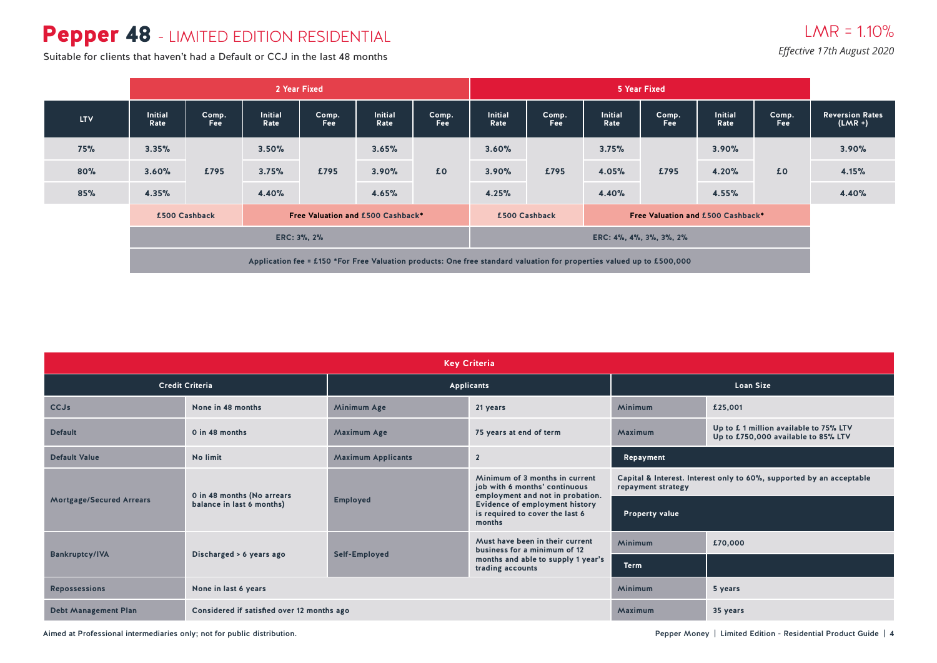## Pepper 48 - LIMITED EDITION RESIDENTIAL

### $LMR = 110%$ *Effective 17th August 2020*

Suitable for clients that haven't had a Default or CCJ in the last 48 months

|            | 2 Year Fixed                                                                                                          |                     |                                   |                     |                 |                     | 5 Year Fixed                                       |                     |                        |              |                        |              |                                     |
|------------|-----------------------------------------------------------------------------------------------------------------------|---------------------|-----------------------------------|---------------------|-----------------|---------------------|----------------------------------------------------|---------------------|------------------------|--------------|------------------------|--------------|-------------------------------------|
| <b>LTV</b> | <b>Initial</b><br>Rate                                                                                                | Comp.<br><b>Fee</b> | <b>Initial</b><br>Rate            | Comp.<br><b>Fee</b> | Initial<br>Rate | Comp.<br><b>Fee</b> | <b>Initial</b><br>Rate                             | Comp.<br><b>Fee</b> | <b>Initial</b><br>Rate | Comp.<br>Fee | <b>Initial</b><br>Rate | Comp.<br>Fee | <b>Reversion Rates</b><br>$(LMR +)$ |
| 75%        | 3.35%                                                                                                                 |                     | 3.50%                             |                     | 3.65%           |                     | 3.60%                                              |                     | 3.75%                  |              | 3.90%                  |              | 3.90%                               |
| 80%        | 3.60%                                                                                                                 | £795                | 3.75%                             | £795                | 3.90%           | £0                  | 3.90%                                              | £795                | 4.05%                  | £795         | 4.20%                  | £0           | 4.15%                               |
| 85%        | 4.35%                                                                                                                 |                     | 4.40%                             |                     | 4.65%           |                     | 4.25%                                              |                     | 4.40%                  |              | 4.55%                  |              | 4.40%                               |
|            |                                                                                                                       | £500 Cashback       | Free Valuation and £500 Cashback* |                     |                 |                     | Free Valuation and £500 Cashback*<br>£500 Cashback |                     |                        |              |                        |              |                                     |
|            | ERC: 3%, 2%                                                                                                           |                     |                                   |                     |                 |                     | ERC: 4%, 4%, 3%, 3%, 2%                            |                     |                        |              |                        |              |                                     |
|            | Application fee = £150 *For Free Valuation products: One free standard valuation for properties valued up to £500,000 |                     |                                   |                     |                 |                     |                                                    |                     |                        |              |                        |              |                                     |

| <b>Key Criteria</b>             |                                            |                                               |                                                                                                     |                                                                                            |                                                                              |  |  |  |  |
|---------------------------------|--------------------------------------------|-----------------------------------------------|-----------------------------------------------------------------------------------------------------|--------------------------------------------------------------------------------------------|------------------------------------------------------------------------------|--|--|--|--|
|                                 | <b>Credit Criteria</b>                     |                                               | Applicants                                                                                          | <b>Loan Size</b>                                                                           |                                                                              |  |  |  |  |
| <b>CCJs</b>                     | None in 48 months                          | <b>Minimum Age</b>                            | 21 years                                                                                            | Minimum                                                                                    | £25,001                                                                      |  |  |  |  |
| <b>Default</b>                  | 0 in 48 months                             | <b>Maximum Age</b><br>75 years at end of term |                                                                                                     | Maximum                                                                                    | Up to £1 million available to 75% LTV<br>Up to £750,000 available to 85% LTV |  |  |  |  |
| <b>Default Value</b>            | No limit                                   | <b>Maximum Applicants</b>                     | $\overline{2}$                                                                                      | Repayment                                                                                  |                                                                              |  |  |  |  |
|                                 | 0 in 48 months (No arrears                 |                                               | Minimum of 3 months in current<br>job with 6 months' continuous<br>employment and not in probation. | Capital & Interest. Interest only to 60%, supported by an acceptable<br>repayment strategy |                                                                              |  |  |  |  |
| <b>Mortgage/Secured Arrears</b> | balance in last 6 months)                  | <b>Employed</b>                               | Evidence of employment history<br>is required to cover the last 6<br>months                         | <b>Property value</b>                                                                      |                                                                              |  |  |  |  |
|                                 |                                            |                                               | Must have been in their current<br>business for a minimum of 12                                     | <b>Minimum</b>                                                                             | £70,000                                                                      |  |  |  |  |
| <b>Bankruptcy/IVA</b>           | Discharged > 6 years ago                   | Self-Employed                                 | months and able to supply 1 year's<br>trading accounts                                              | <b>Term</b>                                                                                |                                                                              |  |  |  |  |
| <b>Repossessions</b>            | None in last 6 years                       |                                               |                                                                                                     | Minimum                                                                                    | 5 years                                                                      |  |  |  |  |
| <b>Debt Management Plan</b>     | Considered if satisfied over 12 months ago |                                               | Maximum                                                                                             | 35 years                                                                                   |                                                                              |  |  |  |  |

Aimed at Professional intermediaries only; not for public distribution. Notice that the state of the state of the state of the state of the state of the state of the state of the state of the state of the state of the stat